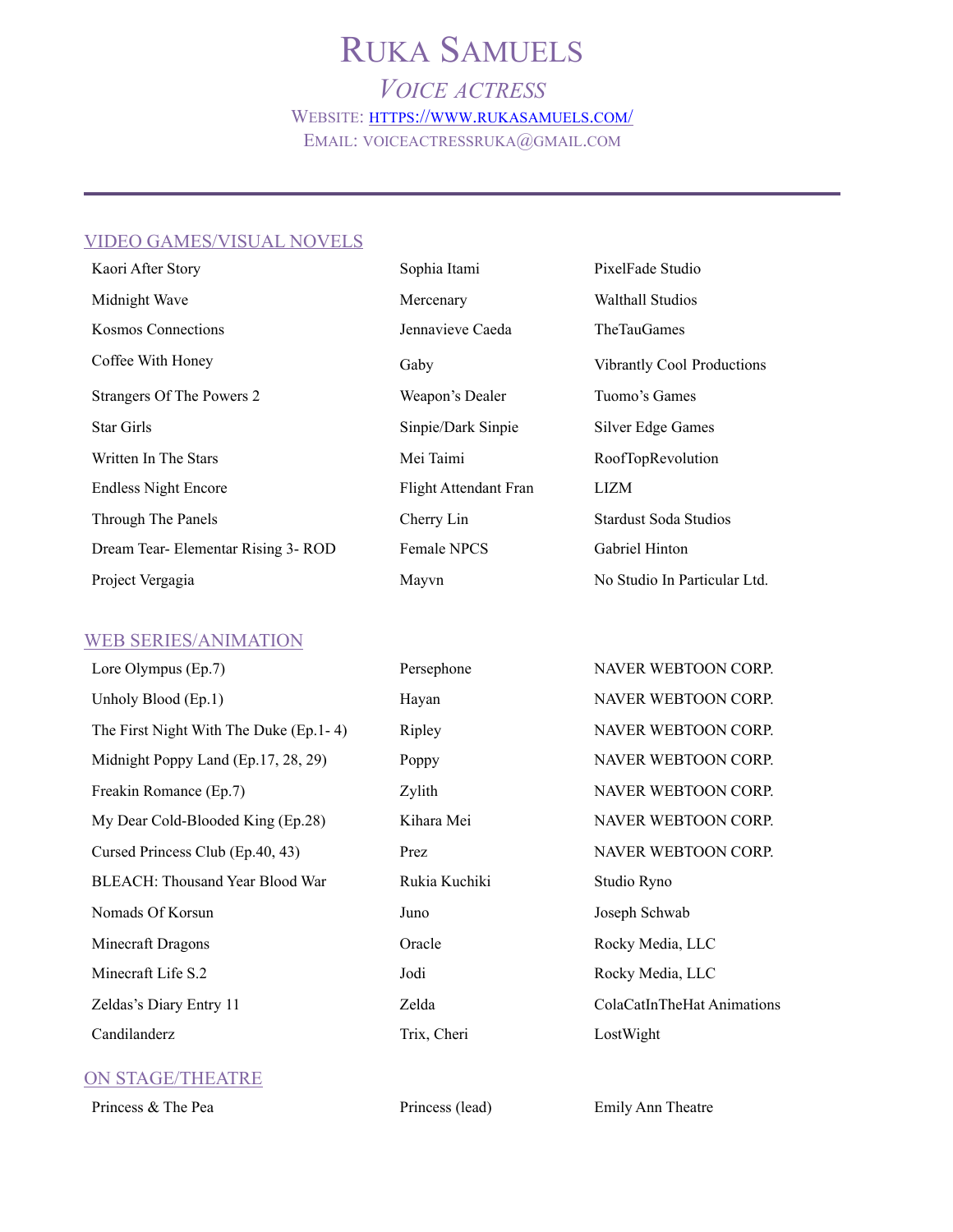# RUKA SAMUELS

*VOICE ACTRESS* WEBSITE: [HTTPS://WWW.RUKASAMUELS.COM/](https://www.rukasamuels.com/)  EMAIL: VOICEACTRESSRUKA@GMAIL.COM

#### VIDEO GAMES/VISUAL NOVELS

| Kaori After Story                 | Sophia Itami          | PixelFade Studio                  |
|-----------------------------------|-----------------------|-----------------------------------|
| Midnight Wave                     | Mercenary             | <b>Walthall Studios</b>           |
| <b>Kosmos Connections</b>         | Jennavieve Caeda      | <b>TheTauGames</b>                |
| Coffee With Honey                 | Gaby                  | <b>Vibrantly Cool Productions</b> |
| Strangers Of The Powers 2         | Weapon's Dealer       | Tuomo's Games                     |
| <b>Star Girls</b>                 | Sinpie/Dark Sinpie    | Silver Edge Games                 |
| Written In The Stars              | Mei Taimi             | RoofTopRevolution                 |
| <b>Endless Night Encore</b>       | Flight Attendant Fran | LIZM                              |
| Through The Panels                | Cherry Lin            | <b>Stardust Soda Studios</b>      |
| Dream Tear-Elementar Rising 3-ROD | <b>Female NPCS</b>    | Gabriel Hinton                    |
| Project Vergagia                  | Mayvn                 | No Studio In Particular Ltd.      |

#### WEB SERIES/ANIMATION

| Lore Olympus (Ep.7)                     | Persephone    | NAVER WEBTOON CORP.       |
|-----------------------------------------|---------------|---------------------------|
| Unholy Blood (Ep.1)                     | Hayan         | NAVER WEBTOON CORP.       |
| The First Night With The Duke (Ep. 1-4) | Ripley        | NAVER WEBTOON CORP.       |
| Midnight Poppy Land (Ep.17, 28, 29)     | Poppy         | NAVER WEBTOON CORP.       |
| Freakin Romance (Ep.7)                  | Zylith        | NAVER WEBTOON CORP.       |
| My Dear Cold-Blooded King (Ep.28)       | Kihara Mei    | NAVER WEBTOON CORP.       |
| Cursed Princess Club (Ep.40, 43)        | Prez          | NAVER WEBTOON CORP.       |
| BLEACH: Thousand Year Blood War         | Rukia Kuchiki | Studio Ryno               |
| Nomads Of Korsun                        | Juno          | Joseph Schwab             |
| Minecraft Dragons                       | Oracle        | Rocky Media, LLC          |
| Minecraft Life S.2                      | Jodi          | Rocky Media, LLC          |
| Zeldas's Diary Entry 11                 | Zelda         | ColaCatInTheHat Animation |
| Candilanderz                            | Trix, Cheri   | LostWight                 |

### ON STAGE/THEATRE

Princess & The Pea Princess (lead) Emily Ann Theatre